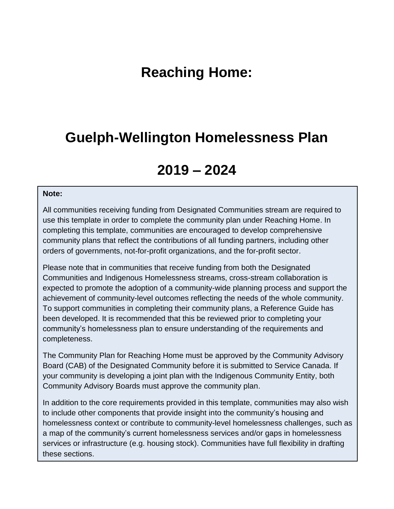# **Reaching Home:**

### **Guelph-Wellington Homelessness Plan**

# **2019 – 2024**

#### **Note:**

All communities receiving funding from Designated Communities stream are required to use this template in order to complete the community plan under Reaching Home. In completing this template, communities are encouraged to develop comprehensive community plans that reflect the contributions of all funding partners, including other orders of governments, not-for-profit organizations, and the for-profit sector.

Please note that in communities that receive funding from both the Designated Communities and Indigenous Homelessness streams, cross-stream collaboration is expected to promote the adoption of a community-wide planning process and support the achievement of community-level outcomes reflecting the needs of the whole community. To support communities in completing their community plans, a Reference Guide has been developed. It is recommended that this be reviewed prior to completing your community's homelessness plan to ensure understanding of the requirements and completeness.

The Community Plan for Reaching Home must be approved by the Community Advisory Board (CAB) of the Designated Community before it is submitted to Service Canada. If your community is developing a joint plan with the Indigenous Community Entity, both Community Advisory Boards must approve the community plan.

In addition to the core requirements provided in this template, communities may also wish to include other components that provide insight into the community's housing and homelessness context or contribute to community-level homelessness challenges, such as a map of the community's current homelessness services and/or gaps in homelessness services or infrastructure (e.g. housing stock). Communities have full flexibility in drafting these sections.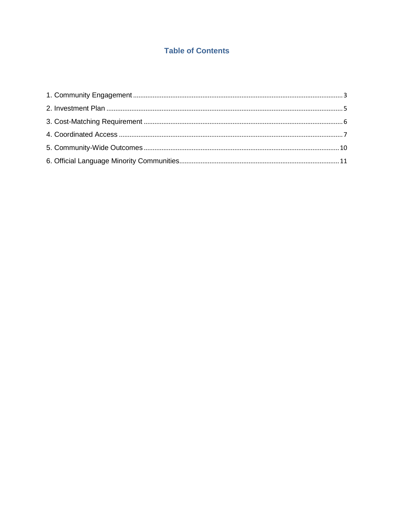### **Table of Contents**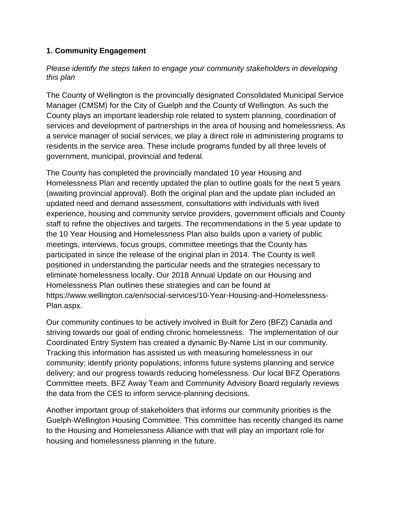### <span id="page-2-0"></span>**1. Community Engagement**

#### *Please identify the steps taken to engage your community stakeholders in developing this plan*

The County of Wellington is the provincially designated Consolidated Municipal Service Manager (CMSM) for the City of Guelph and the County of Wellington. As such the County plays an important leadership role related to system planning, coordination of services and development of partnerships in the area of housing and homelessness. As a service manager of social services, we play a direct role in administering programs to residents in the service area. These include programs funded by all three levels of government, municipal, provincial and federal.

The County has completed the provincially mandated 10 year Housing and Homelessness Plan and recently updated the plan to outline goals for the next 5 years (awaiting provincial approval). Both the original plan and the update plan included an updated need and demand assessment, consultations with individuals with lived experience, housing and community service providers, government officials and County staff to refine the objectives and targets. The recommendations in the 5 year update to the 10 Year Housing and Homelessness Plan also builds upon a variety of public meetings, interviews, focus groups, committee meetings that the County has participated in since the release of the original plan in 2014. The County is well positioned in understanding the particular needs and the strategies necessary to eliminate homelessness locally. Our 2018 Annual Update on our Housing and Homelessness Plan outlines these strategies and can be found at https://www.wellington.ca/en/social-services/10-Year-Housing-and-Homelessness-Plan.aspx.

Our community continues to be actively involved in Built for Zero (BFZ) Canada and striving towards our goal of ending chronic homelessness. The implementation of our Coordinated Entry System has created a dynamic By-Name List in our community. Tracking this information has assisted us with measuring homelessness in our community; identify priority populations; informs future systems planning and service delivery; and our progress towards reducing homelessness. Our local BFZ Operations Committee meets, BFZ Away Team and Community Advisory Board regularly reviews the data from the CES to inform service-planning decisions.

Another important group of stakeholders that informs our community priorities is the Guelph-Wellington Housing Committee. This committee has recently changed its name to the Housing and Homelessness Alliance with that will play an important role for housing and homelessness planning in the future.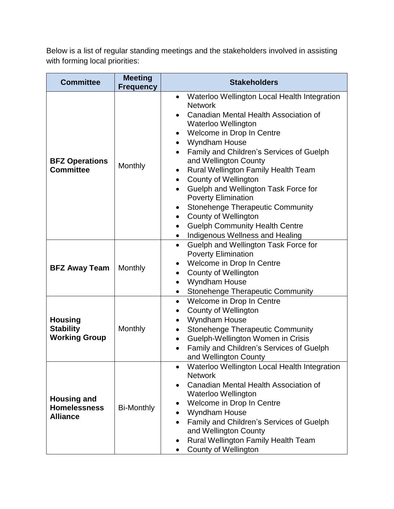Below is a list of regular standing meetings and the stakeholders involved in assisting with forming local priorities:

| <b>Committee</b>                                             | <b>Meeting</b><br><b>Frequency</b> | <b>Stakeholders</b>                                                                                                                                                                                                                                                                                                                                                                                                                                                                                                                                                                                                                                                                                |  |  |
|--------------------------------------------------------------|------------------------------------|----------------------------------------------------------------------------------------------------------------------------------------------------------------------------------------------------------------------------------------------------------------------------------------------------------------------------------------------------------------------------------------------------------------------------------------------------------------------------------------------------------------------------------------------------------------------------------------------------------------------------------------------------------------------------------------------------|--|--|
| <b>BFZ Operations</b><br><b>Committee</b>                    | Monthly                            | Waterloo Wellington Local Health Integration<br>$\bullet$<br><b>Network</b><br>Canadian Mental Health Association of<br>$\bullet$<br><b>Waterloo Wellington</b><br>Welcome in Drop In Centre<br>$\bullet$<br>Wyndham House<br>$\bullet$<br>Family and Children's Services of Guelph<br>$\bullet$<br>and Wellington County<br>Rural Wellington Family Health Team<br>County of Wellington<br>$\bullet$<br>Guelph and Wellington Task Force for<br>$\bullet$<br><b>Poverty Elimination</b><br><b>Stonehenge Therapeutic Community</b><br>$\bullet$<br><b>County of Wellington</b><br>$\bullet$<br><b>Guelph Community Health Centre</b><br>$\bullet$<br>Indigenous Wellness and Healing<br>$\bullet$ |  |  |
| <b>BFZ Away Team</b>                                         | Monthly                            | Guelph and Wellington Task Force for<br>$\bullet$<br><b>Poverty Elimination</b><br>Welcome in Drop In Centre<br>County of Wellington<br>$\bullet$<br><b>Wyndham House</b><br>$\bullet$<br><b>Stonehenge Therapeutic Community</b><br>$\bullet$                                                                                                                                                                                                                                                                                                                                                                                                                                                     |  |  |
| <b>Housing</b><br><b>Stability</b><br><b>Working Group</b>   | Monthly                            | Welcome in Drop In Centre<br>$\bullet$<br>County of Wellington<br>$\bullet$<br>Wyndham House<br>$\bullet$<br><b>Stonehenge Therapeutic Community</b><br>$\bullet$<br>Guelph-Wellington Women in Crisis<br>$\bullet$<br>Family and Children's Services of Guelph<br>$\bullet$<br>and Wellington County                                                                                                                                                                                                                                                                                                                                                                                              |  |  |
| <b>Housing and</b><br><b>Homelessness</b><br><b>Alliance</b> | <b>Bi-Monthly</b>                  | Waterloo Wellington Local Health Integration<br><b>Network</b><br>Canadian Mental Health Association of<br>$\bullet$<br>Waterloo Wellington<br>Welcome in Drop In Centre<br>$\bullet$<br>Wyndham House<br>$\bullet$<br>Family and Children's Services of Guelph<br>$\bullet$<br>and Wellington County<br><b>Rural Wellington Family Health Team</b><br>$\bullet$<br><b>County of Wellington</b>                                                                                                                                                                                                                                                                                                    |  |  |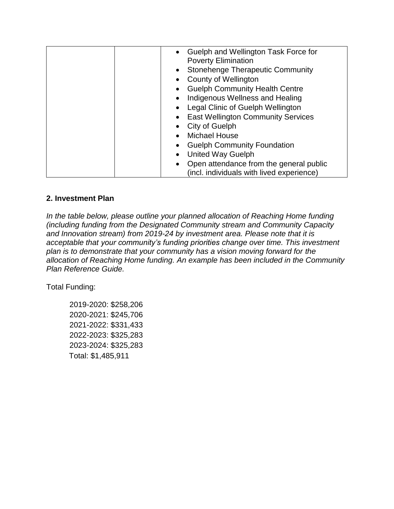| • Guelph and Wellington Task Force for    |
|-------------------------------------------|
| <b>Poverty Elimination</b>                |
| <b>Stonehenge Therapeutic Community</b>   |
| County of Wellington                      |
| <b>Guelph Community Health Centre</b>     |
| Indigenous Wellness and Healing           |
| Legal Clinic of Guelph Wellington         |
| <b>East Wellington Community Services</b> |
| City of Guelph                            |
| <b>Michael House</b>                      |
| <b>Guelph Community Foundation</b>        |
| <b>United Way Guelph</b>                  |
| Open attendance from the general public   |
| (incl. individuals with lived experience) |

#### <span id="page-4-0"></span>**2. Investment Plan**

*In the table below, please outline your planned allocation of Reaching Home funding (including funding from the Designated Community stream and Community Capacity and Innovation stream) from 2019-24 by investment area. Please note that it is acceptable that your community's funding priorities change over time. This investment plan is to demonstrate that your community has a vision moving forward for the allocation of Reaching Home funding. An example has been included in the Community Plan Reference Guide.* 

Total Funding:

2019-2020: \$258,206 2020-2021: \$245,706 2021-2022: \$331,433 2022-2023: \$325,283 2023-2024: \$325,283 Total: \$1,485,911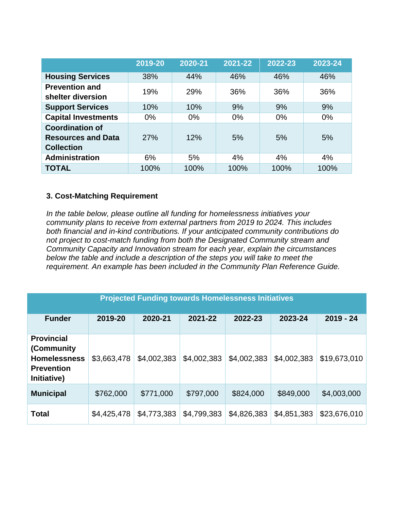|                                                                          | 2019-20 | 2020-21 | 2021-22 | 2022-23 | 2023-24 |
|--------------------------------------------------------------------------|---------|---------|---------|---------|---------|
| <b>Housing Services</b>                                                  | 38%     | 44%     | 46%     | 46%     | 46%     |
| <b>Prevention and</b><br>shelter diversion                               | 19%     | 29%     | 36%     | 36%     | 36%     |
| <b>Support Services</b>                                                  | 10%     | 10%     | 9%      | 9%      | 9%      |
| <b>Capital Investments</b>                                               | $0\%$   | $0\%$   | $0\%$   | $0\%$   | $0\%$   |
| <b>Coordination of</b><br><b>Resources and Data</b><br><b>Collection</b> | 27%     | 12%     | 5%      | 5%      | 5%      |
| <b>Administration</b>                                                    | 6%      | 5%      | 4%      | 4%      | 4%      |
| <b>TOTAL</b>                                                             | 100%    | 100%    | 100%    | 100%    | 100%    |

#### <span id="page-5-0"></span>**3. Cost-Matching Requirement**

*In the table below, please outline all funding for homelessness initiatives your community plans to receive from external partners from 2019 to 2024. This includes both financial and in-kind contributions. If your anticipated community contributions do not project to cost-match funding from both the Designated Community stream and Community Capacity and Innovation stream for each year, explain the circumstances below the table and include a description of the steps you will take to meet the requirement. An example has been included in the Community Plan Reference Guide.*

| <b>Projected Funding towards Homelessness Initiatives</b>                                   |             |             |             |             |             |              |
|---------------------------------------------------------------------------------------------|-------------|-------------|-------------|-------------|-------------|--------------|
| <b>Funder</b>                                                                               | 2019-20     | 2020-21     | 2021-22     | 2022-23     | 2023-24     | $2019 - 24$  |
| <b>Provincial</b><br>(Community)<br><b>Homelessness</b><br><b>Prevention</b><br>Initiative) | \$3,663,478 | \$4,002,383 | \$4,002,383 | \$4,002,383 | \$4,002,383 | \$19,673,010 |
| <b>Municipal</b>                                                                            | \$762,000   | \$771,000   | \$797,000   | \$824,000   | \$849,000   | \$4,003,000  |
| <b>Total</b>                                                                                | \$4,425,478 | \$4,773,383 | \$4,799,383 | \$4,826,383 | \$4,851,383 | \$23,676,010 |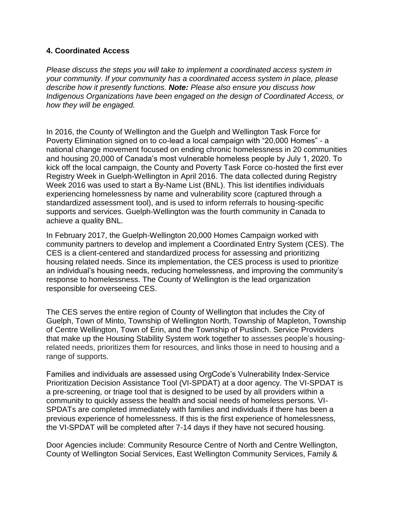#### <span id="page-6-0"></span>**4. Coordinated Access**

*Please discuss the steps you will take to implement a coordinated access system in your community. If your community has a coordinated access system in place, please describe how it presently functions. Note: Please also ensure you discuss how Indigenous Organizations have been engaged on the design of Coordinated Access, or how they will be engaged.* 

In 2016, the County of Wellington and the Guelph and Wellington Task Force for Poverty Elimination signed on to co-lead a local campaign with "20,000 Homes" - a national change movement focused on ending chronic homelessness in 20 communities and housing 20,000 of Canada's most vulnerable homeless people by July 1, 2020. To kick off the local campaign, the County and Poverty Task Force co-hosted the first ever Registry Week in Guelph-Wellington in April 2016. The data collected during Registry Week 2016 was used to start a By-Name List (BNL). This list identifies individuals experiencing homelessness by name and vulnerability score (captured through a standardized assessment tool), and is used to inform referrals to housing-specific supports and services. Guelph-Wellington was the fourth community in Canada to achieve a quality BNL.

In February 2017, the Guelph-Wellington 20,000 Homes Campaign worked with community partners to develop and implement a Coordinated Entry System (CES). The CES is a client-centered and standardized process for assessing and prioritizing housing related needs. Since its implementation, the CES process is used to prioritize an individual's housing needs, reducing homelessness, and improving the community's response to homelessness. The County of Wellington is the lead organization responsible for overseeing CES.

The CES serves the entire region of County of Wellington that includes the City of Guelph, Town of Minto, Township of Wellington North, Township of Mapleton, Township of Centre Wellington, Town of Erin, and the Township of Puslinch. Service Providers that make up the Housing Stability System work together to assesses people's housingrelated needs, prioritizes them for resources, and links those in need to housing and a range of supports.

Families and individuals are assessed using OrgCode's Vulnerability Index-Service Prioritization Decision Assistance Tool (VI-SPDAT) at a door agency. The VI-SPDAT is a pre-screening, or triage tool that is designed to be used by all providers within a community to quickly assess the health and social needs of homeless persons. VI-SPDATs are completed immediately with families and individuals if there has been a previous experience of homelessness. If this is the first experience of homelessness, the VI-SPDAT will be completed after 7-14 days if they have not secured housing.

Door Agencies include: Community Resource Centre of North and Centre Wellington, County of Wellington Social Services, East Wellington Community Services, Family &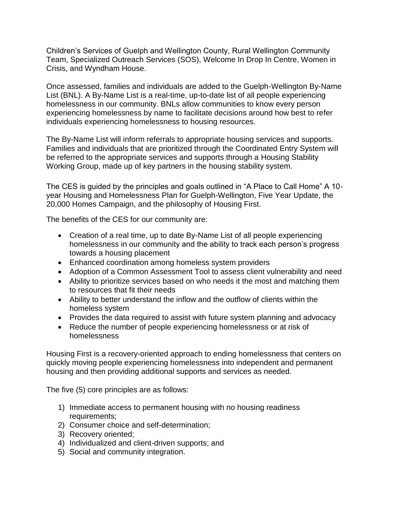Children's Services of Guelph and Wellington County, Rural Wellington Community Team, Specialized Outreach Services (SOS), Welcome In Drop In Centre, Women in Crisis, and Wyndham House.

Once assessed, families and individuals are added to the Guelph-Wellington By-Name List (BNL). A By-Name List is a real-time, up-to-date list of all people experiencing homelessness in our community. BNLs allow communities to know every person experiencing homelessness by name to facilitate decisions around how best to refer individuals experiencing homelessness to housing resources.

The By-Name List will inform referrals to appropriate housing services and supports. Families and individuals that are prioritized through the Coordinated Entry System will be referred to the appropriate services and supports through a Housing Stability Working Group, made up of key partners in the housing stability system.

The CES is guided by the principles and goals outlined in "A Place to Call Home" A 10 year Housing and Homelessness Plan for Guelph-Wellington, Five Year Update, the 20,000 Homes Campaign, and the philosophy of Housing First.

The benefits of the CES for our community are:

- Creation of a real time, up to date By-Name List of all people experiencing homelessness in our community and the ability to track each person's progress towards a housing placement
- Enhanced coordination among homeless system providers
- Adoption of a Common Assessment Tool to assess client vulnerability and need
- Ability to prioritize services based on who needs it the most and matching them to resources that fit their needs
- Ability to better understand the inflow and the outflow of clients within the homeless system
- Provides the data required to assist with future system planning and advocacy
- Reduce the number of people experiencing homelessness or at risk of homelessness

Housing First is a recovery-oriented approach to ending homelessness that centers on quickly moving people experiencing homelessness into independent and permanent housing and then providing additional supports and services as needed.

The five (5) core principles are as follows:

- 1) Immediate access to permanent housing with no housing readiness requirements;
- 2) Consumer choice and self-determination;
- 3) Recovery oriented;
- 4) Individualized and client-driven supports; and
- 5) Social and community integration.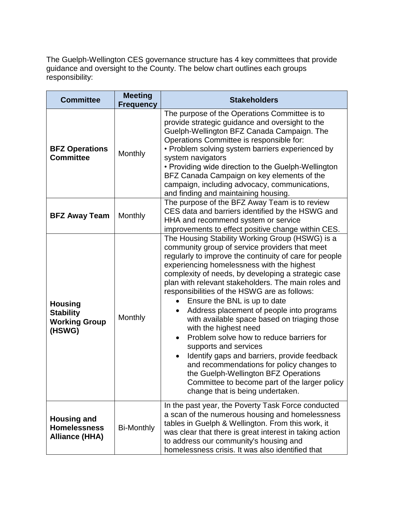The Guelph-Wellington CES governance structure has 4 key committees that provide guidance and oversight to the County. The below chart outlines each groups responsibility:

| <b>Committee</b>                                                     | <b>Meeting</b><br><b>Frequency</b> | <b>Stakeholders</b>                                                                                                                                                                                                                                                                                                                                                                                                                                                                                                                                                                                                                                                                                                                                                                                                          |
|----------------------------------------------------------------------|------------------------------------|------------------------------------------------------------------------------------------------------------------------------------------------------------------------------------------------------------------------------------------------------------------------------------------------------------------------------------------------------------------------------------------------------------------------------------------------------------------------------------------------------------------------------------------------------------------------------------------------------------------------------------------------------------------------------------------------------------------------------------------------------------------------------------------------------------------------------|
| <b>BFZ Operations</b><br><b>Committee</b>                            | Monthly                            | The purpose of the Operations Committee is to<br>provide strategic guidance and oversight to the<br>Guelph-Wellington BFZ Canada Campaign. The<br>Operations Committee is responsible for:<br>• Problem solving system barriers experienced by<br>system navigators<br>• Providing wide direction to the Guelph-Wellington<br>BFZ Canada Campaign on key elements of the<br>campaign, including advocacy, communications,<br>and finding and maintaining housing.                                                                                                                                                                                                                                                                                                                                                            |
| <b>BFZ Away Team</b>                                                 | Monthly                            | The purpose of the BFZ Away Team is to review<br>CES data and barriers identified by the HSWG and<br>HHA and recommend system or service<br>improvements to effect positive change within CES.                                                                                                                                                                                                                                                                                                                                                                                                                                                                                                                                                                                                                               |
| <b>Housing</b><br><b>Stability</b><br><b>Working Group</b><br>(HSWG) | Monthly                            | The Housing Stability Working Group (HSWG) is a<br>community group of service providers that meet<br>regularly to improve the continuity of care for people<br>experiencing homelessness with the highest<br>complexity of needs, by developing a strategic case<br>plan with relevant stakeholders. The main roles and<br>responsibilities of the HSWG are as follows:<br>Ensure the BNL is up to date<br>Address placement of people into programs<br>with available space based on triaging those<br>with the highest need<br>Problem solve how to reduce barriers for<br>supports and services<br>Identify gaps and barriers, provide feedback<br>and recommendations for policy changes to<br>the Guelph-Wellington BFZ Operations<br>Committee to become part of the larger policy<br>change that is being undertaken. |
| <b>Housing and</b><br><b>Homelessness</b><br><b>Alliance (HHA)</b>   | <b>Bi-Monthly</b>                  | In the past year, the Poverty Task Force conducted<br>a scan of the numerous housing and homelessness<br>tables in Guelph & Wellington. From this work, it<br>was clear that there is great interest in taking action<br>to address our community's housing and<br>homelessness crisis. It was also identified that                                                                                                                                                                                                                                                                                                                                                                                                                                                                                                          |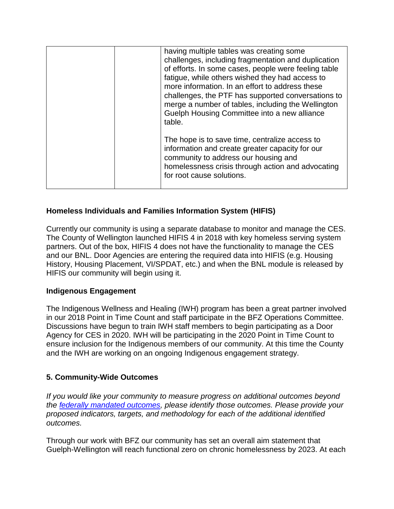| having multiple tables was creating some<br>challenges, including fragmentation and duplication<br>of efforts. In some cases, people were feeling table<br>fatigue, while others wished they had access to<br>more information. In an effort to address these<br>challenges, the PTF has supported conversations to<br>merge a number of tables, including the Wellington<br>Guelph Housing Committee into a new alliance<br>table. |
|-------------------------------------------------------------------------------------------------------------------------------------------------------------------------------------------------------------------------------------------------------------------------------------------------------------------------------------------------------------------------------------------------------------------------------------|
| The hope is to save time, centralize access to<br>information and create greater capacity for our<br>community to address our housing and<br>homelessness crisis through action and advocating<br>for root cause solutions.                                                                                                                                                                                                         |

#### **Homeless Individuals and Families Information System (HIFIS)**

Currently our community is using a separate database to monitor and manage the CES. The County of Wellington launched HIFIS 4 in 2018 with key homeless serving system partners. Out of the box, HIFIS 4 does not have the functionality to manage the CES and our BNL. Door Agencies are entering the required data into HIFIS (e.g. Housing History, Housing Placement, VI/SPDAT, etc.) and when the BNL module is released by HIFIS our community will begin using it.

#### **Indigenous Engagement**

The Indigenous Wellness and Healing (IWH) program has been a great partner involved in our 2018 Point in Time Count and staff participate in the BFZ Operations Committee. Discussions have begun to train IWH staff members to begin participating as a Door Agency for CES in 2020. IWH will be participating in the 2020 Point in Time Count to ensure inclusion for the Indigenous members of our community. At this time the County and the IWH are working on an ongoing Indigenous engagement strategy.

#### <span id="page-9-0"></span>**5. Community-Wide Outcomes**

*If you would like your community to measure progress on additional outcomes beyond the [federally mandated outcomes,](https://www.canada.ca/en/employment-social-development/programs/homelessness/directives.html#h2.3-h3.3) please identify those outcomes. Please provide your proposed indicators, targets, and methodology for each of the additional identified outcomes.* 

Through our work with BFZ our community has set an overall aim statement that Guelph-Wellington will reach functional zero on chronic homelessness by 2023. At each